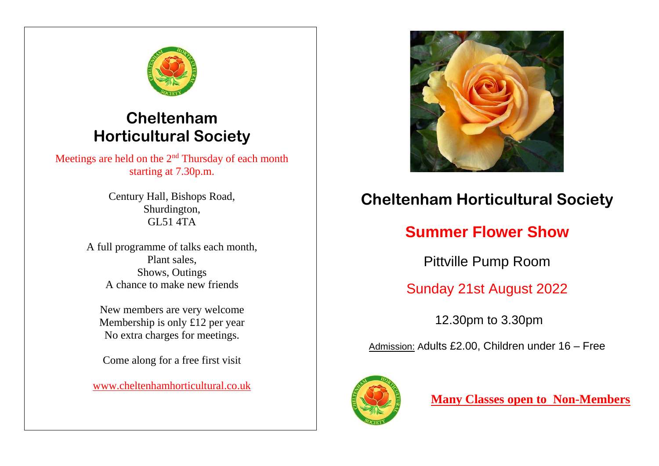

# **Cheltenham Horticultural Society**

Meetings are held on the 2<sup>nd</sup> Thursday of each month starting at 7.30p.m.

> Century Hall, Bishops Road, Shurdington, GL51 4TA

A full programme of talks each month, Plant sales, Shows, Outings A chance to make new friends

New members are very welcome Membership is only £12 per year No extra charges for meetings.

Come along for a free first visit

[www.cheltenhamhorticultural.co.uk](http://www.cheltenhamhorticultural.co.uk/)



# **Cheltenham Horticultural Society**

# **Summer Flower Show**

Pittville Pump Room

# Sunday 21st August 2022

12.30pm to 3.30pm

Admission: Adults £2.00, Children under 16 – Free



**Many Classes open to Non-Members**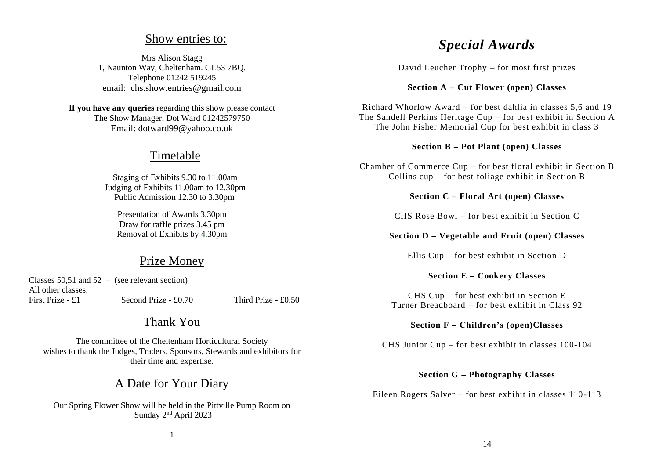### Show entries to:

Mrs Alison Stagg 1, Naunton Way, Cheltenham. GL53 7BQ. Telephone 01242 519245 email: chs.show.entries@gmail.com

**If you have any queries** regarding this show please contact The Show Manager, Dot Ward 01242579750 Email: dotward99@yahoo.co.uk

### Timetable

Staging of Exhibits 9.30 to 11.00am Judging of Exhibits 11.00am to 12.30pm Public Admission 12.30 to 3.30pm

Presentation of Awards 3.30pm Draw for raffle prizes 3.45 pm Removal of Exhibits by 4.30pm

## Prize Money

|                    | Classes 50,51 and $52 -$ (see relevant section) |                     |
|--------------------|-------------------------------------------------|---------------------|
| All other classes: |                                                 |                     |
| First Prize - £1   | Second Prize $- £0.70$                          | Third Prize - £0.50 |

## Thank You

The committee of the Cheltenham Horticultural Society wishes to thank the Judges, Traders, Sponsors, Stewards and exhibitors for their time and expertise.

## A Date for Your Diary

Our Spring Flower Show will be held in the Pittville Pump Room on Sunday 2nd April 2023

## *Special Awards*

David Leucher Trophy – for most first prizes

#### **Section A – Cut Flower (open) Classes**

Richard Whorlow Award – for best dahlia in classes 5,6 and 19 The Sandell Perkins Heritage Cup – for best exhibit in Section A The John Fisher Memorial Cup for best exhibit in class 3

#### **Section B – Pot Plant (open) Classes**

Chamber of Commerce Cup – for best floral exhibit in Section B Collins cup – for best foliage exhibit in Section B

### **Section C – Floral Art (open) Classes**

CHS Rose Bowl – for best exhibit in Section C

#### **Section D – Vegetable and Fruit (open) Classes**

Ellis Cup – for best exhibit in Section D

#### **Section E – Cookery Classes**

CHS Cup – for best exhibit in Section E Turner Breadboard – for best exhibit in Class 92

#### **Section F – Children's (open)Classes**

CHS Junior Cup – for best exhibit in classes 100-104

#### **Section G – Photography Classes**

Eileen Rogers Salver – for best exhibit in classes 110-113

1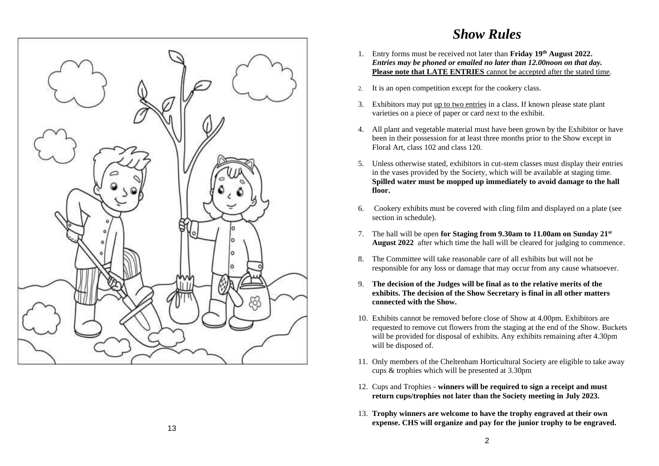

# *Show Rules*

- 1. Entry forms must be received not later than **Friday 19th August 2022.** *Entries may be phoned or emailed no later than 12.00noon on that day.* **Please note that LATE ENTRIES** cannot be accepted after the stated time.
- 2. It is an open competition except for the cookery class.
- 3. Exhibitors may put up to two entries in a class. If known please state plant varieties on a piece of paper or card next to the exhibit.
- 4. All plant and vegetable material must have been grown by the Exhibitor or have been in their possession for at least three months prior to the Show except in Floral Art, class 102 and class 120.
- 5. Unless otherwise stated, exhibitors in cut-stem classes must display their entries in the vases provided by the Society, which will be available at staging time. **Spilled water must be mopped up immediately to avoid damage to the hall floor.**
- 6. Cookery exhibits must be covered with cling film and displayed on a plate (see section in schedule).
- 7. The hall will be open **for Staging from 9.30am to 11.00am on Sunday 21st August 2022** after which time the hall will be cleared for judging to commence.
- 8. The Committee will take reasonable care of all exhibits but will not be responsible for any loss or damage that may occur from any cause whatsoever.
- 9. **The decision of the Judges will be final as to the relative merits of the exhibits. The decision of the Show Secretary is final in all other matters connected with the Show.**
- 10. Exhibits cannot be removed before close of Show at 4.00pm. Exhibitors are requested to remove cut flowers from the staging at the end of the Show. Buckets will be provided for disposal of exhibits. Any exhibits remaining after 4.30pm will be disposed of.
- 11. Only members of the Cheltenham Horticultural Society are eligible to take away cups & trophies which will be presented at 3.30pm
- 12. Cups and Trophies **winners will be required to sign a receipt and must return cups/trophies not later than the Society meeting in July 2023.**
- 13. **Trophy winners are welcome to have the trophy engraved at their own expense. CHS will organize and pay for the junior trophy to be engraved.**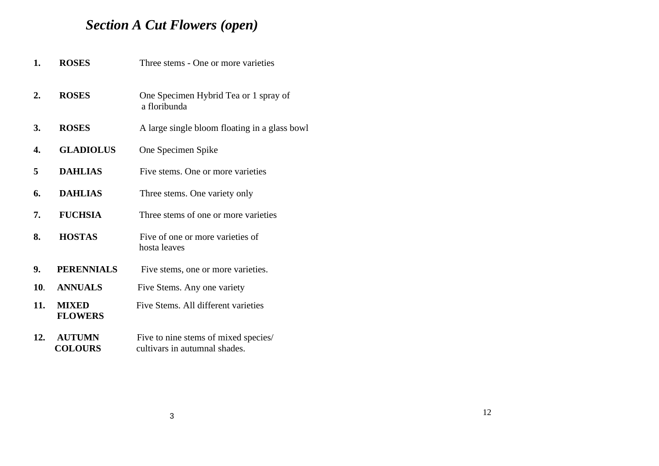# *Section A Cut Flowers (open)*

| 1.  | <b>ROSES</b>                    | Three stems - One or more varieties                                   |  |  |
|-----|---------------------------------|-----------------------------------------------------------------------|--|--|
| 2.  | <b>ROSES</b>                    | One Specimen Hybrid Tea or 1 spray of<br>a floribunda                 |  |  |
| 3.  | <b>ROSES</b>                    | A large single bloom floating in a glass bowl                         |  |  |
| 4.  | <b>GLADIOLUS</b>                | One Specimen Spike                                                    |  |  |
| 5   | <b>DAHLIAS</b>                  | Five stems. One or more varieties                                     |  |  |
| 6.  | <b>DAHLIAS</b>                  | Three stems. One variety only                                         |  |  |
| 7.  | <b>FUCHSIA</b>                  | Three stems of one or more varieties                                  |  |  |
| 8.  | <b>HOSTAS</b>                   | Five of one or more varieties of<br>hosta leaves                      |  |  |
| 9.  | <b>PERENNIALS</b>               | Five stems, one or more varieties.                                    |  |  |
| 10. | <b>ANNUALS</b>                  | Five Stems. Any one variety                                           |  |  |
| 11. | <b>MIXED</b><br><b>FLOWERS</b>  | Five Stems. All different varieties                                   |  |  |
| 12. | <b>AUTUMN</b><br><b>COLOURS</b> | Five to nine stems of mixed species/<br>cultivars in autumnal shades. |  |  |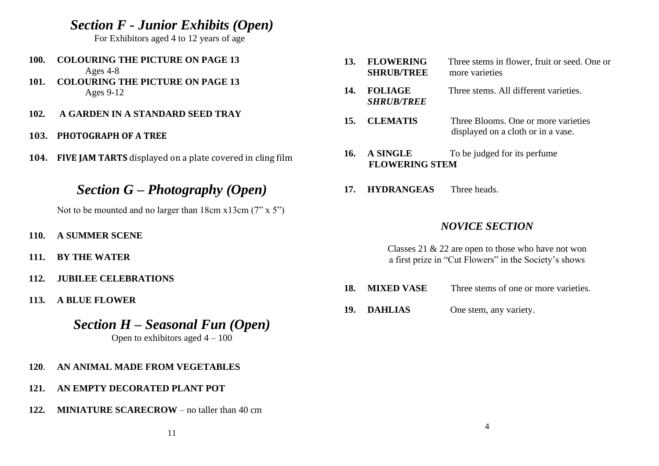*Section F - Junior Exhibits (Open)*

For Exhibitors aged 4 to 12 years of age

- **100. COLOURING THE PICTURE ON PAGE 13** Ages 4-8
- **101. COLOURING THE PICTURE ON PAGE 13** Ages 9-12
- **102. A GARDEN IN A STANDARD SEED TRAY**
- **103. PHOTOGRAPH OF A TREE**
- **104. FIVE JAM TARTS** displayed on a plate covered in cling film

# *Section G – Photography (Open)*

Not to be mounted and no larger than 18cm x13cm (7" x 5")

- **110. A SUMMER SCENE**
- **111. BY THE WATER**
- **112. JUBILEE CELEBRATIONS**
- **113. A BLUE FLOWER**
	- *Section H – Seasonal Fun (Open)*

Open to exhibitors aged  $4 - 100$ 

- **120**. **AN ANIMAL MADE FROM VEGETABLES**
- **121. AN EMPTY DECORATED PLANT POT**
- **122. MINIATURE SCARECROW** no taller than 40 cm
- **13. FLOWERING** Three stems in flower, fruit or seed. One or **SHRUB/TREE** more varieties
- **14. FOLIAGE** Three stems. All different varieties.  *SHRUB/TREE*
- **15. CLEMATIS** Three Blooms. One or more varieties displayed on a cloth or in a vase.
- 16. A SINGLE To be judged for its perfume **FLOWERING STEM**
- **17. HYDRANGEAS** Three heads.

## *NOVICE SECTION*

Classes 21 & 22 are open to those who have not won a first prize in "Cut Flowers" in the Society's shows

- **18. MIXED VASE** Three stems of one or more varieties.
- **19. DAHLIAS** One stem, any variety.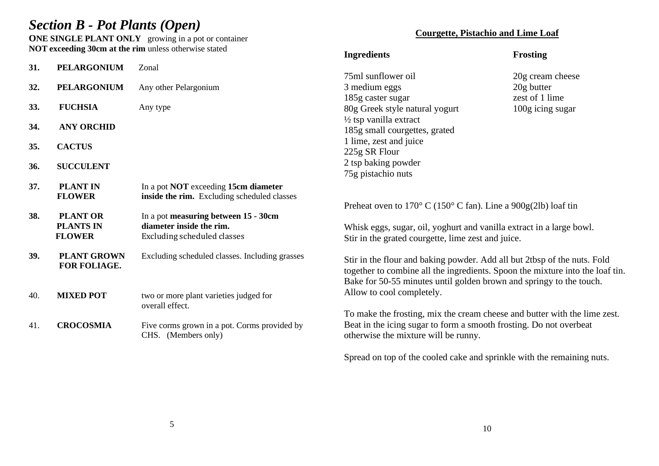## *Section B - Pot Plants (Open)*

**ONE SINGLE PLANT ONLY** growing in a pot or container **NOT exceeding 30cm at the rim** unless otherwise stated

### **Courgette, Pistachio and Lime Loaf**

|     |                    |                                                | <b>Ingredients</b>                                                                  | <b>Frosting</b>  |  |  |
|-----|--------------------|------------------------------------------------|-------------------------------------------------------------------------------------|------------------|--|--|
| 31. | <b>PELARGONIUM</b> | Zonal                                          |                                                                                     |                  |  |  |
|     |                    |                                                | 75ml sunflower oil                                                                  | 20g cream cheese |  |  |
| 32. | <b>PELARGONIUM</b> | Any other Pelargonium                          | 3 medium eggs                                                                       | 20g butter       |  |  |
|     |                    |                                                | 185g caster sugar                                                                   | zest of 1 lime   |  |  |
| 33. | <b>FUCHSIA</b>     | Any type                                       | 80g Greek style natural yogurt                                                      | 100g icing sugar |  |  |
|     |                    |                                                | 1/2 tsp vanilla extract                                                             |                  |  |  |
| 34. | <b>ANY ORCHID</b>  |                                                | 185g small courgettes, grated                                                       |                  |  |  |
|     |                    |                                                | 1 lime, zest and juice                                                              |                  |  |  |
| 35. | <b>CACTUS</b>      |                                                | 225g SR Flour                                                                       |                  |  |  |
|     | <b>SUCCULENT</b>   |                                                | 2 tsp baking powder                                                                 |                  |  |  |
| 36. |                    |                                                | 75g pistachio nuts                                                                  |                  |  |  |
| 37. | <b>PLANT IN</b>    | In a pot <b>NOT</b> exceeding 15cm diameter    |                                                                                     |                  |  |  |
|     | <b>FLOWER</b>      | inside the rim. Excluding scheduled classes    |                                                                                     |                  |  |  |
|     |                    |                                                | Preheat oven to $170^{\circ}$ C ( $150^{\circ}$ C fan). Line a $900g(21b)$ loaf tin |                  |  |  |
| 38. | <b>PLANT OR</b>    | In a pot measuring between 15 - 30cm           |                                                                                     |                  |  |  |
|     | <b>PLANTS IN</b>   | diameter inside the rim.                       | Whisk eggs, sugar, oil, yoghurt and vanilla extract in a large bowl.                |                  |  |  |
|     | <b>FLOWER</b>      | <b>Excluding scheduled classes</b>             | Stir in the grated courgette, lime zest and juice.                                  |                  |  |  |
|     |                    |                                                |                                                                                     |                  |  |  |
| 39. | <b>PLANT GROWN</b> | Excluding scheduled classes. Including grasses | Stir in the flour and baking powder. Add all but 2tbsp of the nuts. Fold            |                  |  |  |
|     | FOR FOLIAGE.       |                                                | together to combine all the ingredients. Spoon the mixture into the loaf tin.       |                  |  |  |
|     |                    |                                                | Bake for 50-55 minutes until golden brown and springy to the touch.                 |                  |  |  |
|     |                    |                                                | Allow to cool completely.                                                           |                  |  |  |
| 40. | <b>MIXED POT</b>   | two or more plant varieties judged for         |                                                                                     |                  |  |  |
|     |                    | overall effect.                                | To make the frosting, mix the cream cheese and butter with the lime zest.           |                  |  |  |
| 41. | <b>CROCOSMIA</b>   | Five corms grown in a pot. Corms provided by   | Beat in the icing sugar to form a smooth frosting. Do not overbeat                  |                  |  |  |
|     |                    | CHS. (Members only)                            | otherwise the mixture will be runny.                                                |                  |  |  |
|     |                    |                                                |                                                                                     |                  |  |  |
|     |                    |                                                | Spread on top of the cooled cake and sprinkle with the remaining nuts.              |                  |  |  |
|     |                    |                                                |                                                                                     |                  |  |  |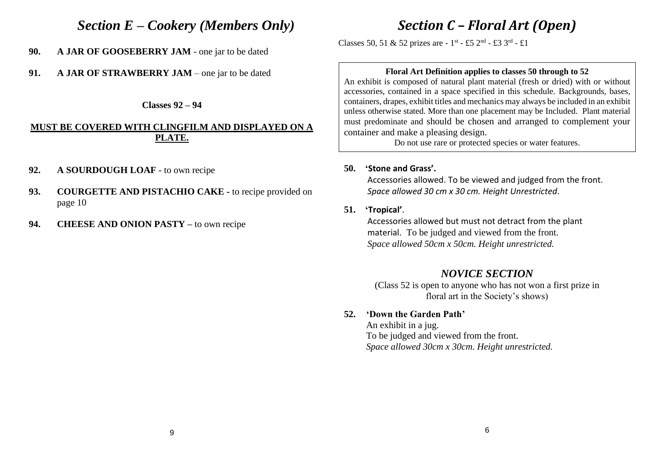## *Section E – Cookery (Members Only)*

- **90. A JAR OF GOOSEBERRY JAM** one jar to be dated
- **91. A JAR OF STRAWBERRY JAM**  one jar to be dated

**Classes 92 – 94**

### **MUST BE COVERED WITH CLINGFILM AND DISPLAYED ON A PLATE.**

- **92. A SOURDOUGH LOAF** to own recipe
- **93. COURGETTE AND PISTACHIO CAKE -** to recipe provided on page 10
- **94. CHEESE AND ONION PASTY –** to own recipe

# *Section C – Floral Art (Open)*

Classes 50, 51 & 52 prizes are -  $1^{st}$  - £5  $2^{nd}$  - £3  $3^{rd}$  - £1

### **Floral Art Definition applies to classes 50 through to 52**

An exhibit is composed of natural plant material (fresh or dried) with or without accessories, contained in a space specified in this schedule. Backgrounds, bases, containers, drapes, exhibit titles and mechanics may always be included in an exhibit unless otherwise stated. More than one placement may be Included. Plant material must predominate and should be chosen and arranged to complement your container and make a pleasing design.

Do not use rare or protected species or water features.

### **50. 'Stone and Grass'.**

Accessories allowed. To be viewed and judged from the front. *Space allowed 30 cm x 30 cm. Height Unrestricted*.

### **51. 'Tropical'**.

 Accessories allowed but must not detract from the plant material. To be judged and viewed from the front.  *Space allowed 50cm x 50cm. Height unrestricted.*

### *NOVICE SECTION*

(Class 52 is open to anyone who has not won a first prize in floral art in the Society's shows)

### **52. 'Down the Garden Path'**

An exhibit in a jug. To be judged and viewed from the front. *Space allowed 30cm x 30cm. Height unrestricted.*